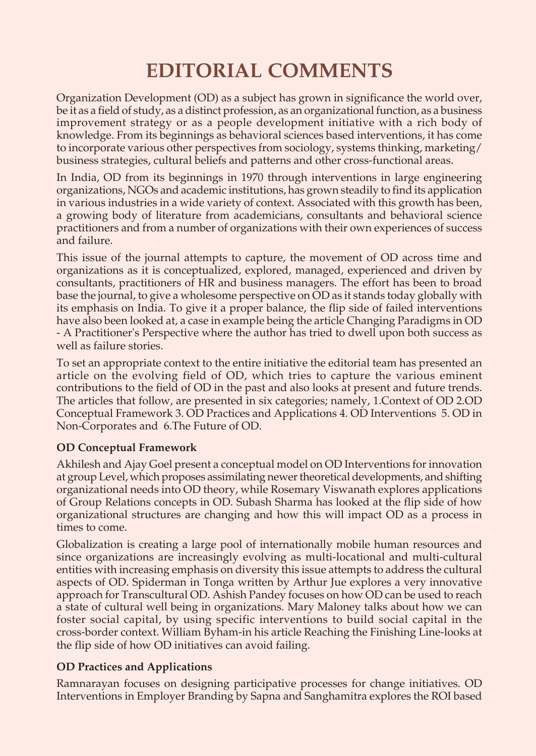# **EDITORIAL COMMENTS**

Organization Development (OD) as a subject has grown in significance the world over, be it as a field of study, as a distinct profession, as an organizational function, as a business improvement strategy or as a people development initiative with a rich body of knowledge. From its beginnings as behavioral sciences based interventions, it has come to incorporate various other perspectives from sociology, systems thinking, marketing/ business strategies, cultural beliefs and patterns and other cross-functional areas.

In India, OD from its beginnings in 1970 through interventions in large engineering organizations, NGOs and academic institutions, has grown steadily to find its application in various industries in a wide variety of context. Associated with this growth has been, a growing body of literature from academicians, consultants and behavioral science practitioners and from a number of organizations with their own experiences of success and failure.

This issue of the journal attempts to capture, the movement of OD across time and organizations as it is conceptualized, explored, managed, experienced and driven by consultants, practitioners of HR and business managers. The effort has been to broad base the journal, to give a wholesome perspective on OD as it stands today globally with its emphasis on India. To give it a proper balance, the flip side of failed interventions have also been looked at, a case in example being the article Changing Paradigms in OD - A Practitioner's Perspective where the author has tried to dwell upon both success as well as failure stories.

To set an appropriate context to the entire initiative the editorial team has presented an article on the evolving field of OD, which tries to capture the various eminent contributions to the field of OD in the past and also looks at present and future trends. The articles that follow, are presented in six categories; namely, 1.Context of OD 2.OD Conceptual Framework 3. OD Practices and Applications 4. OD Interventions 5. OD in Non-Corporates and 6.The Future of OD.

## **OD Conceptual Framework**

Akhilesh and Ajay Goel present a conceptual model on OD Interventions for innovation at group Level, which proposes assimilating newer theoretical developments, and shifting organizational needs into OD theory, while Rosemary Viswanath explores applications of Group Relations concepts in OD. Subash Sharma has looked at the flip side of how organizational structures are changing and how this will impact OD as a process in times to come.

Globalization is creating a large pool of internationally mobile human resources and since organizations are increasingly evolving as multi-locational and multi-cultural entities with increasing emphasis on diversity this issue attempts to address the cultural aspects of OD. Spiderman in Tonga written by Arthur Jue explores a very innovative approach for Transcultural OD. Ashish Pandey focuses on how OD can be used to reach a state of cultural well being in organizations. Mary Maloney talks about how we can foster social capital, by using specific interventions to build social capital in the cross-border context. William Byham-in his article Reaching the Finishing Line-looks at the flip side of how OD initiatives can avoid failing.

## **OD Practices and Applications**

Ramnarayan focuses on designing participative processes for change initiatives. OD Interventions in Employer Branding by Sapna and Sanghamitra explores the ROI based